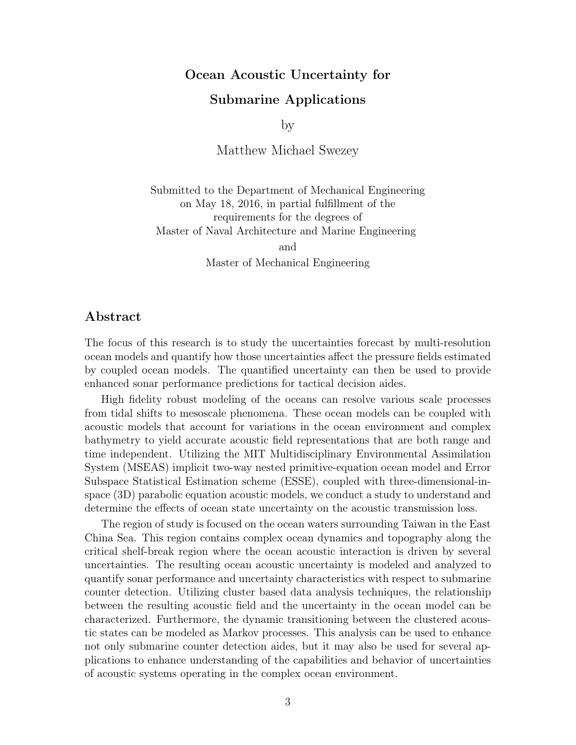## Ocean Acoustic Uncertainty for

## Submarine Applications

by

Matthew Michael Swezey

Submitted to the Department of Mechanical Engineering on May 18, 2016, in partial fulfillment of the requirements for the degrees of Master of Naval Architecture and Marine Engineering

> and Master of Mechanical Engineering

## Abstract

The focus of this research is to study the uncertainties forecast by multi-resolution ocean models and quantify how those uncertainties affect the pressure fields estimated by coupled ocean models. The quantified uncertainty can then be used to provide enhanced sonar performance predictions for tactical decision aides.

High fidelity robust modeling of the oceans can resolve various scale processes from tidal shifts to mesoscale phenomena. These ocean models can be coupled with acoustic models that account for variations in the ocean environment and complex bathymetry to yield accurate acoustic field representations that are both range and time independent. Utilizing the MIT Multidisciplinary Environmental Assimilation System (MSEAS) implicit two-way nested primitive-equation ocean model and Error Subspace Statistical Estimation scheme (ESSE), coupled with three-dimensional-inspace (3D) parabolic equation acoustic models, we conduct a study to understand and determine the effects of ocean state uncertainty on the acoustic transmission loss.

The region of study is focused on the ocean waters surrounding Taiwan in the East China Sea. This region contains complex ocean dynamics and topography along the critical shelf-break region where the ocean acoustic interaction is driven by several uncertainties. The resulting ocean acoustic uncertainty is modeled and analyzed to quantify sonar performance and uncertainty characteristics with respect to submarine counter detection. Utilizing cluster based data analysis techniques, the relationship between the resulting acoustic field and the uncertainty in the ocean model can be characterized. Furthermore, the dynamic transitioning between the clustered acoustic states can be modeled as Markov processes. This analysis can be used to enhance not only submarine counter detection aides, but it may also be used for several applications to enhance understanding of the capabilities and behavior of uncertainties of acoustic systems operating in the complex ocean environment.